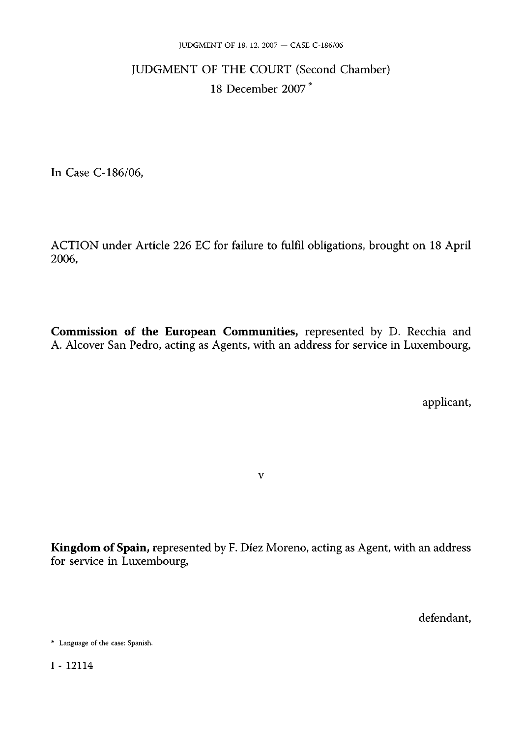# JUDGMENT OF THE COURT (Second Chamber) 18 December 2007 \*

In Case C-186/06,

ACTION under Article 226 EC for failure to fulfil obligations, brought on 18 April 2006,

**Commission of the European Communities,** represented by D. Recchia and A. Alcover San Pedro, acting as Agents, with an address for service in Luxembourg,

applicant,

**Kingdom of Spain,** represented by F. Díez Moreno, acting as Agent, with an address for service in Luxembourg,

v

defendant,

<sup>\*</sup> Language of the case: Spanish.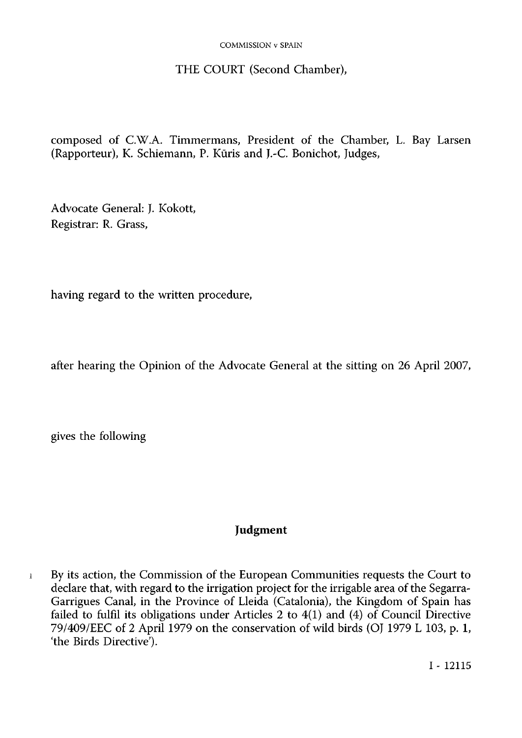#### COMMISSION v SPAIN

# THE COURT (Second Chamber),

composed of CW.A. Timmermans, President of the Chamber, L. Bay Larsen (Rapporteur), K. Schiemann, P. Kūris and J.-C. Bonichot, Judges,

Advocate General: J. Kokott, Registrar: R. Grass,

having regard to the written procedure,

after hearing the Opinion of the Advocate General at the sitting on 26 April 2007,

gives the following

# **Judgment**

1 By its action, the Commission of the European Communities requests the Court to declare that, with regard to the irrigation project for the irrigable area of the Segarra-Garrigues Canal, in the Province of Lleida (Catalonia), the Kingdom of Spain has failed to fulfil its obligations under Articles 2 to 4(1) and (4) of Council Directive 79/409/EEC of 2 April 1979 on the conservation of wild birds (OJ 1979 L 103, p. 1, 'the Birds Directive').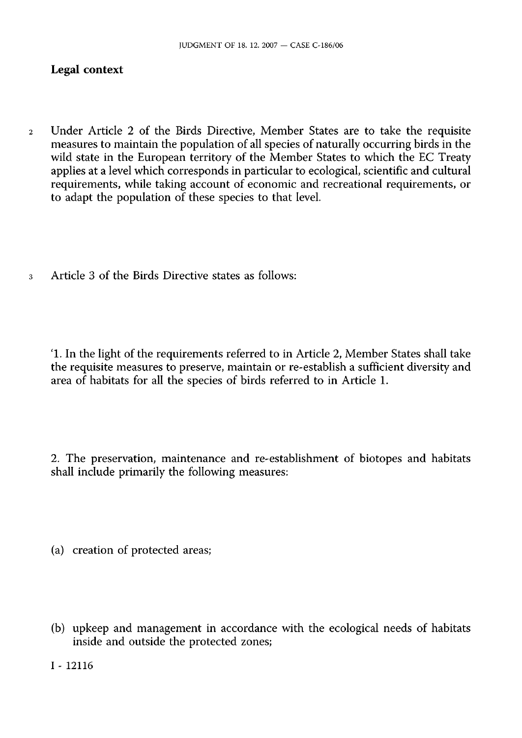# **Legal context**

- 2 Under Article 2 of the Birds Directive, Member States are to take the requisite measures to maintain the population of all species of naturally occurring birds in the wild state in the European territory of the Member States to which the EC Treaty applies at a level which corresponds in particular to ecological, scientific and cultural requirements, while taking account of economic and recreational requirements, or to adapt the population of these species to that level
- 3 Article 3 of the Birds Directive states as follows:

'L In the light of the requirements referred to in Article 2, Member States shall take the requisite measures to preserve, maintain or re-establish a sufficient diversity and area of habitats for all the species of birds referred to in Article 1.

2. The preservation, maintenance and re-establishment of biotopes and habitats shall include primarily the following measures:

(a) creation of protected areas;

(b) upkeep and management in accordance with the ecological needs of habitats inside and outside the protected zones;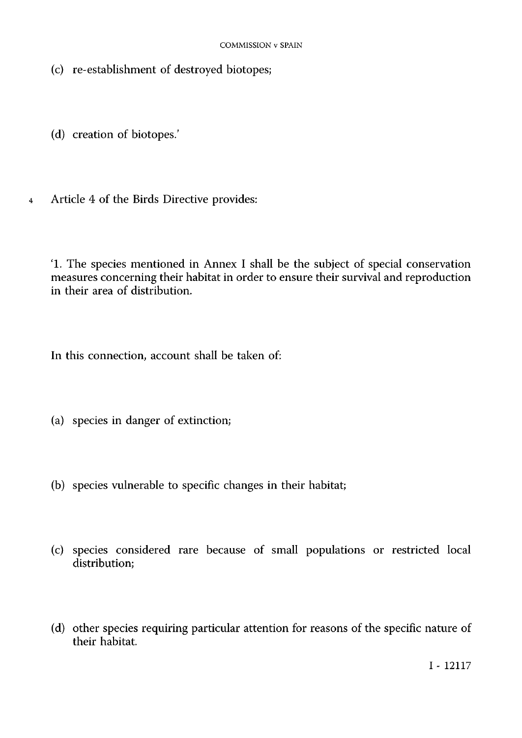- (c) re-establishment of destroyed biotopes;
- (d) creation of biotopes.'
- Article 4 of the Birds Directive provides:  $\overline{4}$

'L The species mentioned in Annex I shall be the subject of special conservation measures concerning their habitat in order to ensure their survival and reproduction in their area of distribution.

In this connection, account shall be taken of:

- (a) species in danger of extinction;
- (b) species vulnerable to specific changes in their habitat;
- (c) species considered rare because of small populations or restricted local distribution;
- (d) other species requiring particular attention for reasons of the specific nature of their habitat.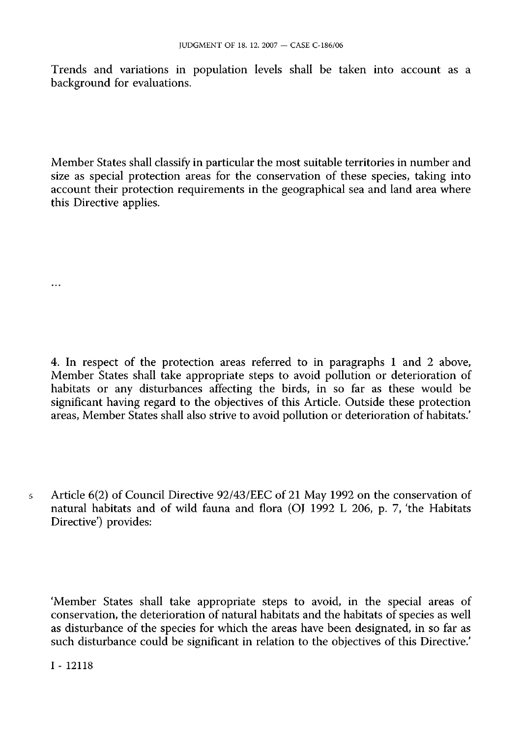Trends and variations in population levels shall be taken into account as a background for evaluations.

Member States shall classify in particular the most suitable territories in number and size as special protection areas for the conservation of these species, taking into account their protection requirements in the geographical sea and land area where this Directive applies.

4. In respect of the protection areas referred to in paragraphs 1 and 2 above, Member States shall take appropriate steps to avoid pollution or deterioration of habitats or any disturbances affecting the birds, in so far as these would be significant having regard to the objectives of this Article. Outside these protection areas, Member States shall also strive to avoid pollution or deterioration of habitats.'

5 Article 6(2) of Council Directive 92/43/EEC of 21 May 1992 on the conservation of natural habitats and of wild fauna and flora (OJ 1992 L 206, p. 7, 'the Habitats Directive') provides:

'Member States shall take appropriate steps to avoid, in the special areas of conservation, the deterioration of natural habitats and the habitats of species as well as disturbance of the species for which the areas have been designated, in so far as such disturbance could be significant in relation to the objectives of this Directive.'

I - 12118

 $\ddotsc$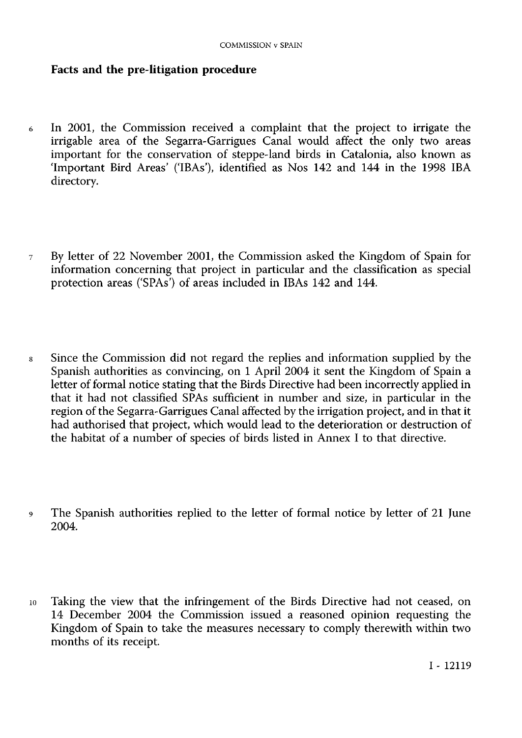# **Facts and the pre-litigation procedure**

- 6 In 2001, the Commission received a complaint that the project to irrigate the irrigable area of the Segarra-Garrigues Canal would affect the only two areas important for the conservation of steppe-land birds in Catalonia, also known as 'Important Bird Areas' ('IBAs'), identified as Nos 142 and 144 in the 1998 IBA directory.
- 7 By letter of 22 November 2001, the Commission asked the Kingdom of Spain for information concerning that project in particular and the classification as special protection areas ('SPAs') of areas included in IBAs 142 and 144.
- 8 Since the Commission did not regard the replies and information supplied by the Spanish authorities as convincing, on 1 April 2004 it sent the Kingdom of Spain a letter of formal notice stating that the Birds Directive had been incorrectly applied in that it had not classified SPAs sufficient in number and size, in particular in the region of the Segarra-Garrigues Canal affected by the irrigation project, and in that it had authorised that project, which would lead to the deterioration or destruction of the habitat of a number of species of birds listed in Annex I to that directive.
- 9 The Spanish authorities replied to the letter of formal notice by letter of 21 June 2004.
- 10 Taking the view that the infringement of the Birds Directive had not ceased, on 14 December 2004 the Commission issued a reasoned opinion requesting the Kingdom of Spain to take the measures necessary to comply therewith within two months of its receipt.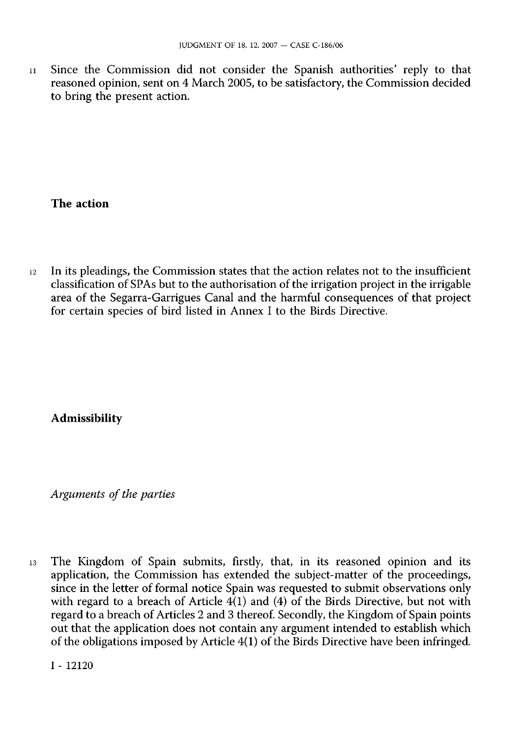11 Since the Commission did not consider the Spanish authorities' reply to that reasoned opinion, sent on 4 March 2005, to be satisfactory, the Commission decided to bring the present action.

#### **The action**

12 In its pleadings, the Commission states that the action relates not to the insufficient classification of SPAs but to the authorisation of the irrigation project in the irrigable area of the Segarra-Garrigues Canal and the harmful consequences of that project for certain species of bird listed in Annex I to the Birds Directive.

# **Admissibility**

*Arguments of the parties* 

13 The Kingdom of Spain submits, firstly, that, in its reasoned opinion and its application, the Commission has extended the subject-matter of the proceedings, since in the letter of formal notice Spain was requested to submit observations only with regard to a breach of Article  $4(1)$  and (4) of the Birds Directive, but not with regard to a breach of Articles 2 and 3 thereof. Secondly, the Kingdom of Spain points out that the application does not contain any argument intended to establish which of the obligations imposed by Article 4(1) of the Birds Directive have been infringed.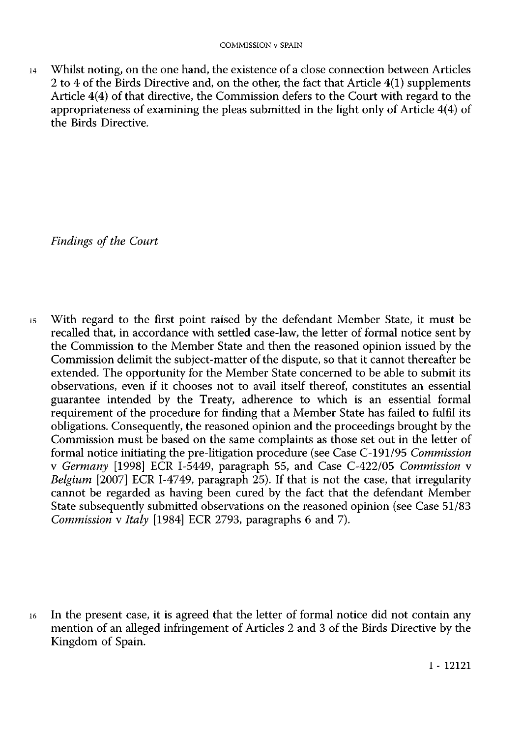14 Whilst noting, on the one hand, the existence of a close connection between Articles 2 to 4 of the Birds Directive and, on the other, the fact that Article 4(1) supplements Article 4(4) of that directive, the Commission defers to the Court with regard to the appropriateness of examining the pleas submitted in the light only of Article 4(4) of the Birds Directive.

*Findings of the Court* 

15 With regard to the first point raised by the defendant Member State, it must be recalled that, in accordance with settled case-law, the letter of formal notice sent by the Commission to the Member State and then the reasoned opinion issued by the Commission delimit the subject-matter of the dispute, so that it cannot thereafter be extended. The opportunity for the Member State concerned to be able to submit its observations, even if it chooses not to avail itself thereof, constitutes an essential guarantee intended by the Treaty, adherence to which is an essential formal requirement of the procedure for finding that a Member State has failed to fulfil its obligations. Consequently, the reasoned opinion and the proceedings brought by the Commission must be based on the same complaints as those set out in the letter of formal notice initiating the pre-litigation procedure (see Case C-191/95 *Commission*  v *Germany* [1998] ECR I-5449, paragraph 55, and Case C-422/05 *Commission* v *Belgium* [2007] ECR I-4749, paragraph 25). If that is not the case, that irregularity cannot be regarded as having been cured by the fact that the defendant Member State subsequently submitted observations on the reasoned opinion (see Case 51/83 *Commission* v *Italy* [1984] ECR 2793, paragraphs 6 and 7).

16 In the present case, it is agreed that the letter of formal notice did not contain any mention of an alleged infringement of Articles 2 and 3 of the Birds Directive by the Kingdom of Spain.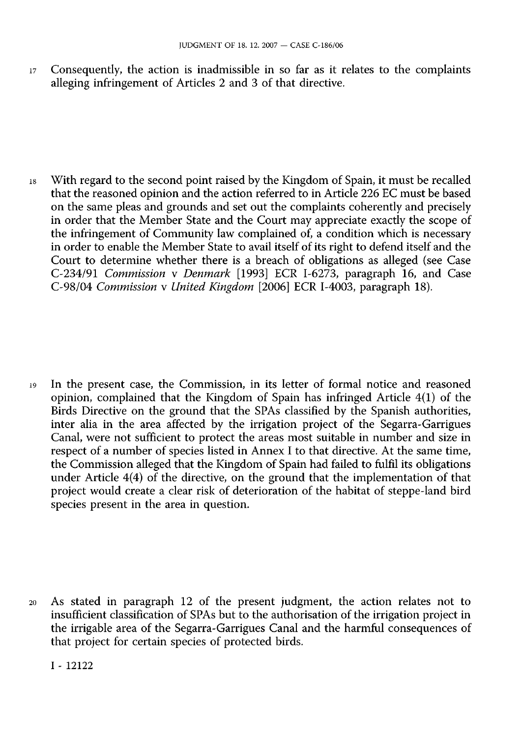17 Consequently, the action is inadmissible in so far as it relates to the complaints alleging infringement of Articles 2 and 3 of that directive.

18 With regard to the second point raised by the Kingdom of Spain, it must be recalled that the reasoned opinion and the action referred to in Article 226 EC must be based on the same pleas and grounds and set out the complaints coherently and precisely in order that the Member State and the Court may appreciate exactly the scope of the infringement of Community law complained of, a condition which is necessary in order to enable the Member State to avail itself of its right to defend itself and the Court to determine whether there is a breach of obligations as alleged (see Case C-234/91 *Commission* v *Denmark* [1993] ECR I-6273, paragraph 16, and Case C-98/04 *Commission* v *United Kingdom* [2006] ECR I-4003, paragraph 18).

19 In the present case, the Commission, in its letter of formal notice and reasoned opinion, complained that the Kingdom of Spain has infringed Article 4(1) of the Birds Directive on the ground that the SPAs classified by the Spanish authorities, inter alia in the area affected by the irrigation project of the Segarra-Garrigues Canal, were not sufficient to protect the areas most suitable in number and size in respect of a number of species listed in Annex I to that directive. At the same time, the Commission alleged that the Kingdom of Spain had failed to fulfil its obligations under Article 4(4) of the directive, on the ground that the implementation of that project would create a clear risk of deterioration of the habitat of steppe-land bird species present in the area in question.

20 As stated in paragraph 12 of the present judgment, the action relates not to insufficient classification of SPAs but to the authorisation of the irrigation project in the irrigable area of the Segarra-Garrigues Canal and the harmful consequences of that project for certain species of protected birds.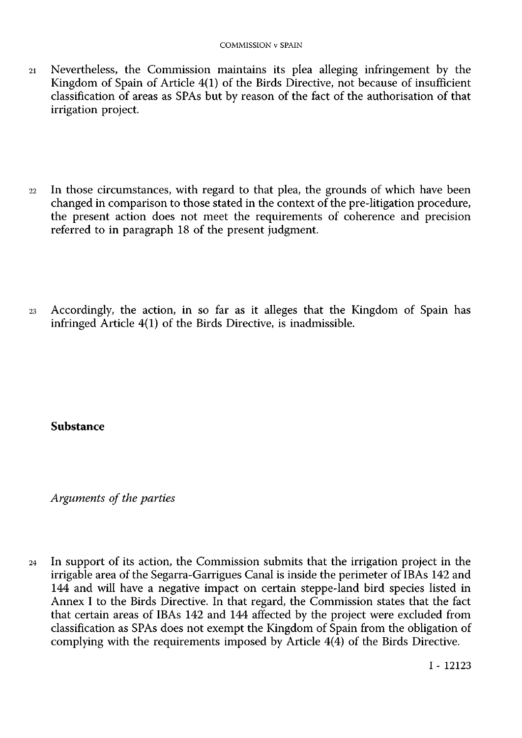- 21 Nevertheless, the Commission maintains its plea alleging infringement by the Kingdom of Spain of Article 4(1) of the Birds Directive, not because of insufficient classification of areas as SPAs but by reason of the fact of the authorisation of that irrigation project
- 22 In those circumstances, with regard to that plea, the grounds of which have been changed in comparison to those stated in the context of the pre-litigation procedure, the present action does not meet the requirements of coherence and precision referred to in paragraph 18 of the present judgment
- 23 Accordingly, the action, in so far as it alleges that the Kingdom of Spain has infringed Article 4(1) of the Birds Directive, is inadmissible.

**Substance** 

*Arguments of the parties* 

24 In support of its action, the Commission submits that the irrigation project in the irrigable area of the Segarra-Garrigues Canal is inside the perimeter of IBAs 142 and 144 and will have a negative impact on certain steppe-land bird species listed in Annex I to the Birds Directive. In that regard, the Commission states that the fact that certain areas of IBAs 142 and 144 affected by the project were excluded from classification as SPAs does not exempt the Kingdom of Spain from the obligation of complying with the requirements imposed by Article 4(4) of the Birds Directive.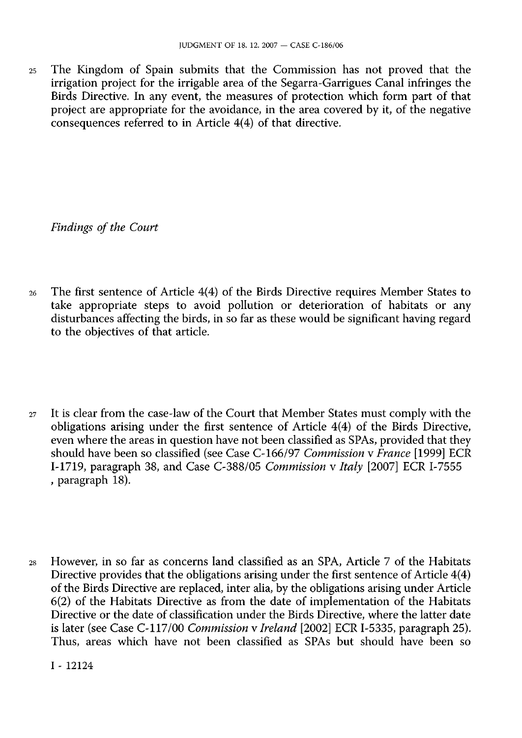25 The Kingdom of Spain submits that the Commission has not proved that the irrigation project for the irrigable area of the Segarra-Garrigues Canal infringes the Birds Directive. In any event, the measures of protection which form part of that project are appropriate for the avoidance, in the area covered by it, of the negative consequences referred to in Article 4(4) of that directive.

*Findings of the Court* 

- 26 The first sentence of Article 4(4) of the Birds Directive requires Member States to take appropriate steps to avoid pollution or deterioration of habitats or any disturbances affecting the birds, in so far as these would be significant having regard to the objectives of that article.
- 27 It is clear from the case-law of the Court that Member States must comply with the obligations arising under the first sentence of Article 4(4) of the Birds Directive, even where the areas in question have not been classified as SPAs, provided that they should have been so classified (see Case C-166/97 *Commission* v *France* [1999] ECR I-1719, paragraph 38, and Case C-388/05 *Commission* v *Italy* [2007] ECR I-7555 , paragraph 18).
- 28 However, in so far as concerns land classified as an SPA, Article 7 of the Habitats Directive provides that the obligations arising under the first sentence of Article 4(4) of the Birds Directive are replaced, inter alia, by the obligations arising under Article 6(2) of the Habitats Directive as from the date of implementation of the Habitats Directive or the date of classification under the Birds Directive, where the latter date is later (see Case C-117/00 *Commission* v *Ireland* [2002] ECR I-5335, paragraph 25). Thus, areas which have not been classified as SPAs but should have been so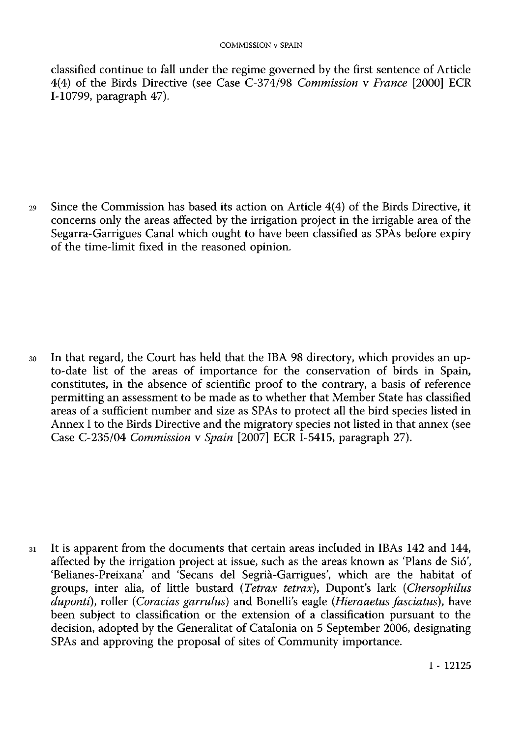classified continue to fall under the regime governed by the first sentence of Article 4(4) of the Birds Directive (see Case C-374/98 *Commission* v *France* [2000] ECR I-10799, paragraph 47).

29 Since the Commission has based its action on Article 4(4) of the Birds Directive, it concerns only the areas affected by the irrigation project in the irrigable area of the Segarra-Garrigues Canal which ought to have been classified as SPAs before expiry of the time-limit fixed in the reasoned opinion.

30 In that regard, the Court has held that the IBA 98 directory, which provides an upto-date list of the areas of importance for the conservation of birds in Spain, constitutes, in the absence of scientific proof to the contrary, a basis of reference permitting an assessment to be made as to whether that Member State has classified areas of a sufficient number and size as SPAs to protect all the bird species listed in Annex I to the Birds Directive and the migratory species not listed in that annex (see Case C-235/04 *Commission* v *Spain* [2007] ECR I-5415, paragraph 27).

31 It is apparent from the documents that certain areas included in IBAs 142 and 144, affected by the irrigation project at issue, such as the areas known as 'Plans de Sió', 'Belianes-Preixana' and 'Secans del Segrià-Garrigues', which are the habitat of groups, inter alia, of little bustard *(Tetrax tetrax),* Duponťs lark *(Chersophilus duponti),* roller *(Coradas garrulus)* and Bonellis eagle *(Hieraaetus fasciatus),* have been subject to classification or the extension of a classification pursuant to the decision, adopted by the Generalität of Catalonia on 5 September 2006, designating SPAs and approving the proposal of sites of Community importance.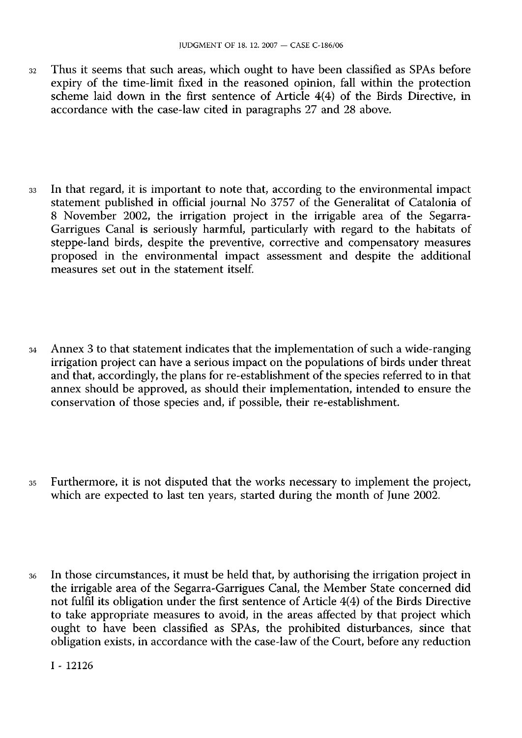- 32 Thus it seems that such areas, which ought to have been classified as SPAs before expiry of the time-limit fixed in the reasoned opinion, fall within the protection scheme laid down in the first sentence of Article 4(4) of the Birds Directive, in accordance with the case-law cited in paragraphs 27 and 28 above.
- 33 In that regard, it is important to note that, according to the environmental impact statement published in official journal No 3757 of the Generalität of Catalonia of 8 November 2002, the irrigation project in the irrigable area of the Segarra-Garrigues Canal is seriously harmful, particularly with regard to the habitats of steppe-land birds, despite the preventive, corrective and compensatory measures proposed in the environmental impact assessment and despite the additional measures set out in the statement itself.
- 34 Annex 3 to that statement indicates that the implementation of such a wide-ranging irrigation project can have a serious impact on the populations of birds under threat and that, accordingly, the plans for re-establishment of the species referred to in that annex should be approved, as should their implementation, intended to ensure the conservation of those species and, if possible, their re-establishment.
- 35 Furthermore, it is not disputed that the works necessary to implement the project, which are expected to last ten years, started during the month of June 2002.
- 36 In those circumstances, it must be held that, by authorising the irrigation project in the irrigable area of the Segarra-Garrigues Canal, the Member State concerned did not fulfil its obligation under the first sentence of Article 4(4) of the Birds Directive to take appropriate measures to avoid, in the areas affected by that project which ought to have been classified as SPAs, the prohibited disturbances, since that obligation exists, in accordance with the case-law of the Court, before any reduction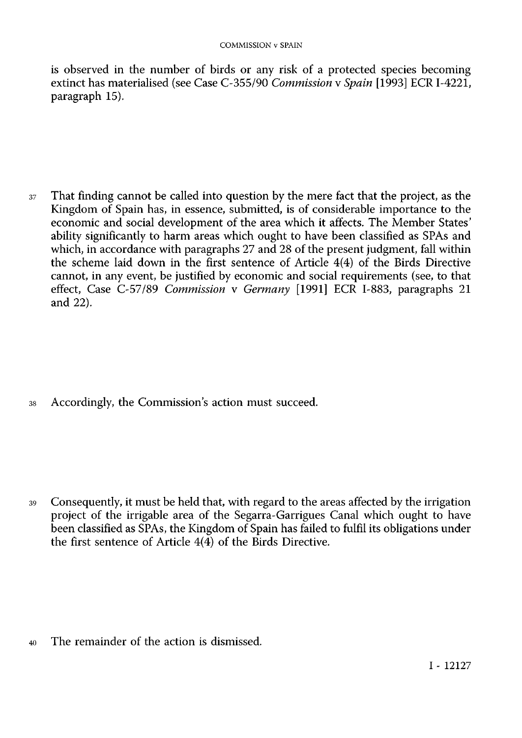is observed in the number of birds or any risk of a protected species becoming extinct has materialised (see Case 0355/90 *Commission* v *Spain* [1993] ECR I-4221, paragraph 15).

37 That finding cannot be called into question by the mere fact that the project, as the Kingdom of Spain has, in essence, submitted, is of considerable importance to the economic and social development of the area which it affects. The Member States' ability significantly to harm areas which ought to have been classified as SPAs and which, in accordance with paragraphs 27 and 28 of the present judgment, fall within the scheme laid down in the first sentence of Article 4(4) of the Birds Directive cannot, in any event, be justified by economic and social requirements (see, to that effect, Case C-57/89 *Commission* v *Germany* [1991] ECR I-883, paragraphs 21 and 22).

38 Accordingly, the Commission's action must succeed.

39 Consequently, it must be held that, with regard to the areas affected by the irrigation project of the irrigable area of the Segarra-Garrigues Canal which ought to have been classified as SPAs, the Kingdom of Spain has failed to fulfil its obligations under the first sentence of Article  $4(4)$  of the Birds Directive.

40 The remainder of the action is dismissed.